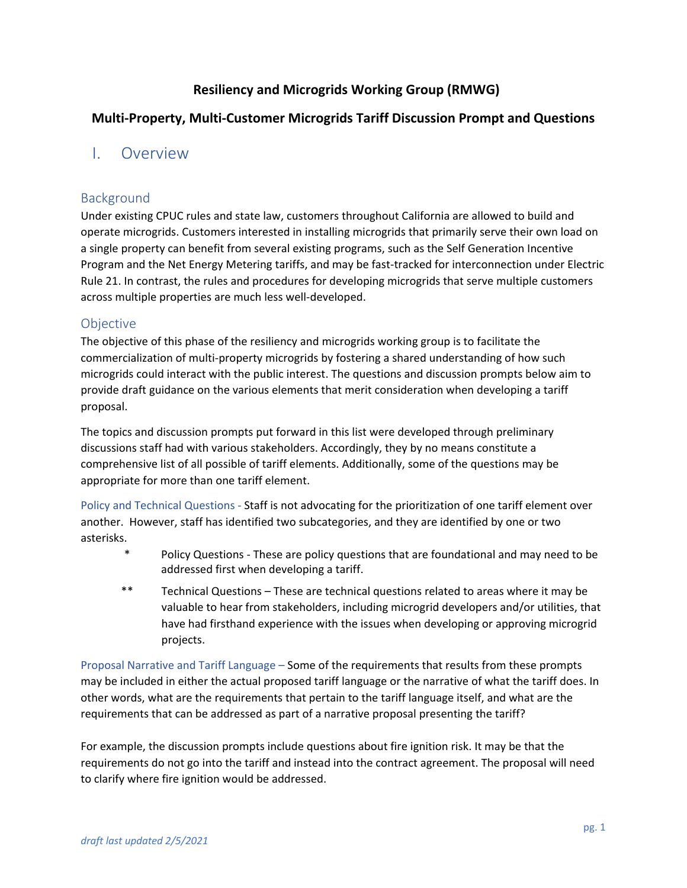## **Resiliency and Microgrids Working Group (RMWG)**

## **Multi-Property, Multi-Customer Microgrids Tariff Discussion Prompt and Questions**

# I. Overview

## Background

Under existing CPUC rules and state law, customers throughout California are allowed to build and operate microgrids. Customers interested in installing microgrids that primarily serve their own load on a single property can benefit from several existing programs, such as the Self Generation Incentive Program and the Net Energy Metering tariffs, and may be fast-tracked for interconnection under Electric Rule 21. In contrast, the rules and procedures for developing microgrids that serve multiple customers across multiple properties are much less well-developed.

## **Objective**

The objective of this phase of the resiliency and microgrids working group is to facilitate the commercialization of multi-property microgrids by fostering a shared understanding of how such microgrids could interact with the public interest. The questions and discussion prompts below aim to provide draft guidance on the various elements that merit consideration when developing a tariff proposal.

The topics and discussion prompts put forward in this list were developed through preliminary discussions staff had with various stakeholders. Accordingly, they by no means constitute a comprehensive list of all possible of tariff elements. Additionally, some of the questions may be appropriate for more than one tariff element.

Policy and Technical Questions - Staff is not advocating for the prioritization of one tariff element over another. However, staff has identified two subcategories, and they are identified by one or two asterisks.

- \* Policy Questions These are policy questions that are foundational and may need to be addressed first when developing a tariff.
- \*\* Technical Questions These are technical questions related to areas where it may be valuable to hear from stakeholders, including microgrid developers and/or utilities, that have had firsthand experience with the issues when developing or approving microgrid projects.

Proposal Narrative and Tariff Language – Some of the requirements that results from these prompts may be included in either the actual proposed tariff language or the narrative of what the tariff does. In other words, what are the requirements that pertain to the tariff language itself, and what are the requirements that can be addressed as part of a narrative proposal presenting the tariff?

For example, the discussion prompts include questions about fire ignition risk. It may be that the requirements do not go into the tariff and instead into the contract agreement. The proposal will need to clarify where fire ignition would be addressed.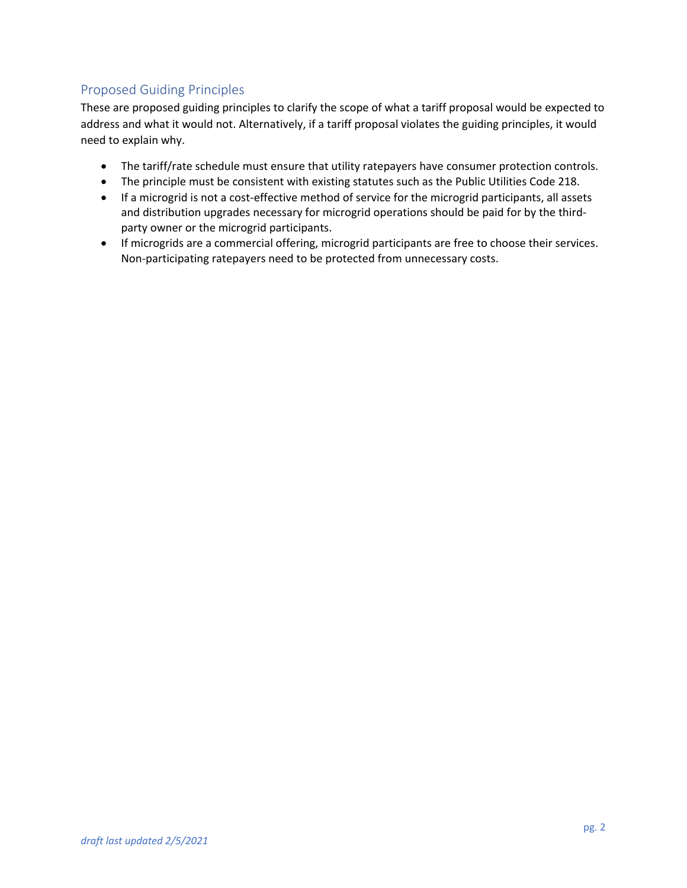# Proposed Guiding Principles

These are proposed guiding principles to clarify the scope of what a tariff proposal would be expected to address and what it would not. Alternatively, if a tariff proposal violates the guiding principles, it would need to explain why.

- The tariff/rate schedule must ensure that utility ratepayers have consumer protection controls.
- The principle must be consistent with existing statutes such as the Public Utilities Code 218.
- If a microgrid is not a cost-effective method of service for the microgrid participants, all assets and distribution upgrades necessary for microgrid operations should be paid for by the thirdparty owner or the microgrid participants.
- If microgrids are a commercial offering, microgrid participants are free to choose their services. Non-participating ratepayers need to be protected from unnecessary costs.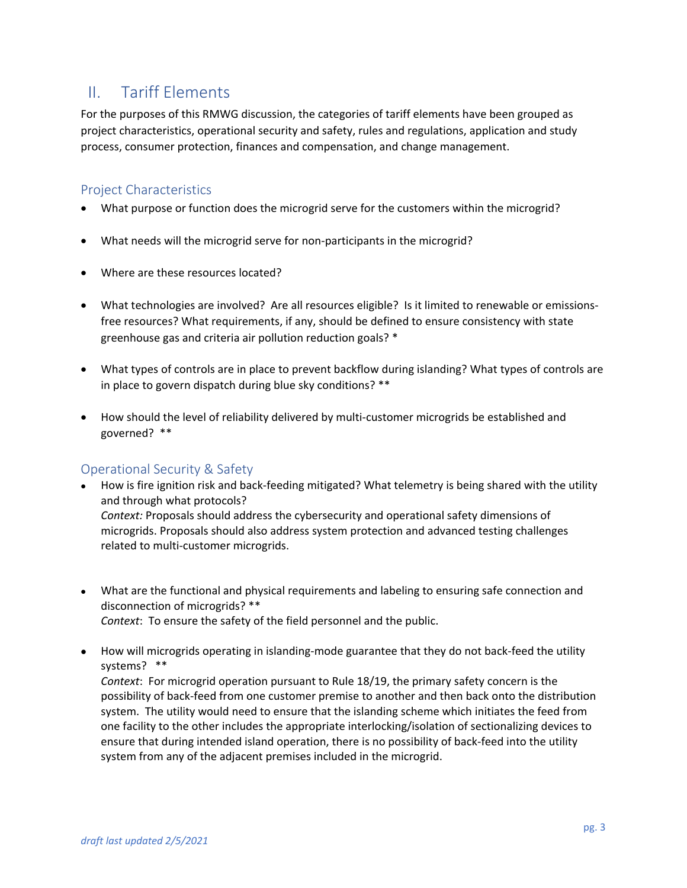# II. Tariff Elements

For the purposes of this RMWG discussion, the categories of tariff elements have been grouped as project characteristics, operational security and safety, rules and regulations, application and study process, consumer protection, finances and compensation, and change management.

#### Project Characteristics

- What purpose or function does the microgrid serve for the customers within the microgrid?
- What needs will the microgrid serve for non-participants in the microgrid?
- Where are these resources located?
- What technologies are involved? Are all resources eligible? Is it limited to renewable or emissionsfree resources? What requirements, if any, should be defined to ensure consistency with state greenhouse gas and criteria air pollution reduction goals? \*
- What types of controls are in place to prevent backflow during islanding? What types of controls are in place to govern dispatch during blue sky conditions? \*\*
- How should the level of reliability delivered by multi-customer microgrids be established and governed? \*\*

## Operational Security & Safety

- How is fire ignition risk and back-feeding mitigated? What telemetry is being shared with the utility and through what protocols? *Context:* Proposals should address the cybersecurity and operational safety dimensions of microgrids. Proposals should also address system protection and advanced testing challenges related to multi-customer microgrids.
- What are the functional and physical requirements and labeling to ensuring safe connection and disconnection of microgrids? \*\* *Context*: To ensure the safety of the field personnel and the public.
- How will microgrids operating in islanding-mode guarantee that they do not back-feed the utility systems? \*\*

*Context*: For microgrid operation pursuant to Rule 18/19, the primary safety concern is the possibility of back-feed from one customer premise to another and then back onto the distribution system. The utility would need to ensure that the islanding scheme which initiates the feed from one facility to the other includes the appropriate interlocking/isolation of sectionalizing devices to ensure that during intended island operation, there is no possibility of back-feed into the utility system from any of the adjacent premises included in the microgrid.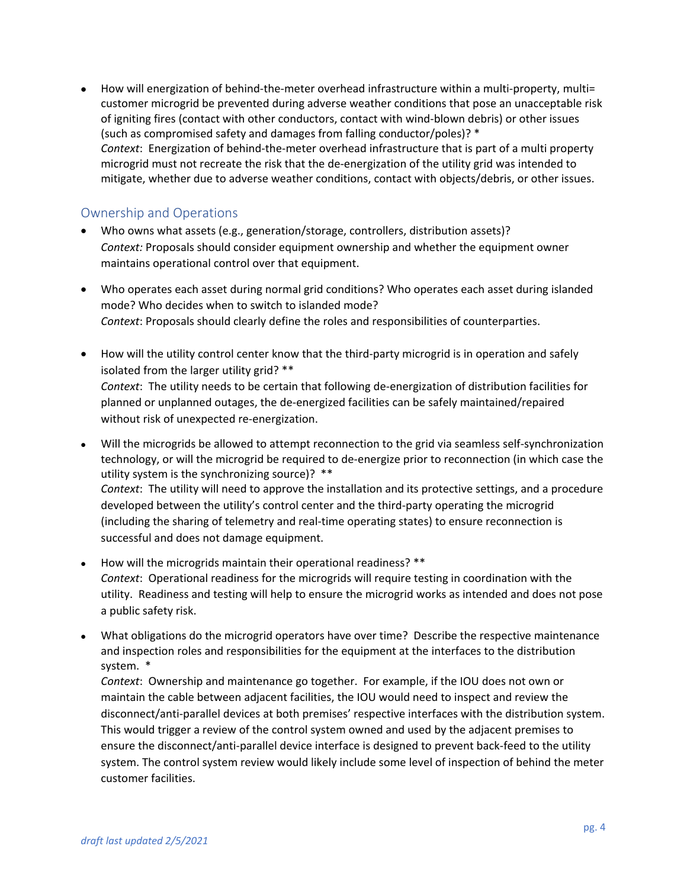• How will energization of behind-the-meter overhead infrastructure within a multi-property, multi= customer microgrid be prevented during adverse weather conditions that pose an unacceptable risk of igniting fires (contact with other conductors, contact with wind-blown debris) or other issues (such as compromised safety and damages from falling conductor/poles)? \* *Context*: Energization of behind-the-meter overhead infrastructure that is part of a multi property microgrid must not recreate the risk that the de-energization of the utility grid was intended to mitigate, whether due to adverse weather conditions, contact with objects/debris, or other issues.

#### Ownership and Operations

- Who owns what assets (e.g., generation/storage, controllers, distribution assets)? *Context:* Proposals should consider equipment ownership and whether the equipment owner maintains operational control over that equipment.
- Who operates each asset during normal grid conditions? Who operates each asset during islanded mode? Who decides when to switch to islanded mode? *Context*: Proposals should clearly define the roles and responsibilities of counterparties.
- How will the utility control center know that the third-party microgrid is in operation and safely isolated from the larger utility grid? \*\* *Context*: The utility needs to be certain that following de-energization of distribution facilities for planned or unplanned outages, the de-energized facilities can be safely maintained/repaired without risk of unexpected re-energization.
- Will the microgrids be allowed to attempt reconnection to the grid via seamless self-synchronization technology, or will the microgrid be required to de-energize prior to reconnection (in which case the utility system is the synchronizing source)? \*\* *Context*: The utility will need to approve the installation and its protective settings, and a procedure developed between the utility's control center and the third-party operating the microgrid (including the sharing of telemetry and real-time operating states) to ensure reconnection is successful and does not damage equipment.
- How will the microgrids maintain their operational readiness? \*\* *Context*: Operational readiness for the microgrids will require testing in coordination with the utility. Readiness and testing will help to ensure the microgrid works as intended and does not pose a public safety risk.
- What obligations do the microgrid operators have over time? Describe the respective maintenance and inspection roles and responsibilities for the equipment at the interfaces to the distribution system. \*

*Context*: Ownership and maintenance go together. For example, if the IOU does not own or maintain the cable between adjacent facilities, the IOU would need to inspect and review the disconnect/anti-parallel devices at both premises' respective interfaces with the distribution system. This would trigger a review of the control system owned and used by the adjacent premises to ensure the disconnect/anti-parallel device interface is designed to prevent back-feed to the utility system. The control system review would likely include some level of inspection of behind the meter customer facilities.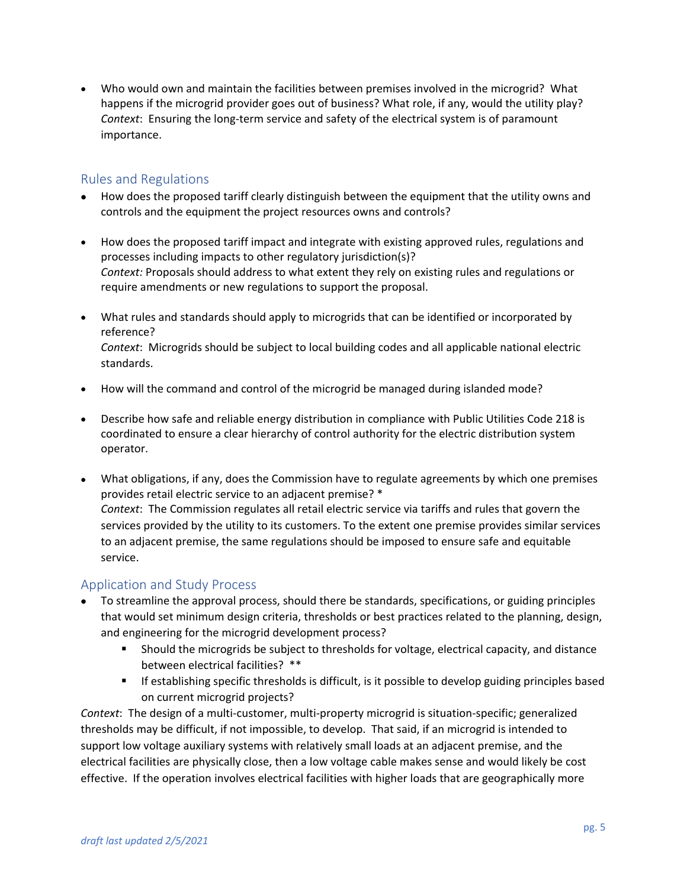• Who would own and maintain the facilities between premises involved in the microgrid? What happens if the microgrid provider goes out of business? What role, if any, would the utility play? *Context*: Ensuring the long-term service and safety of the electrical system is of paramount importance.

## Rules and Regulations

- How does the proposed tariff clearly distinguish between the equipment that the utility owns and controls and the equipment the project resources owns and controls?
- How does the proposed tariff impact and integrate with existing approved rules, regulations and processes including impacts to other regulatory jurisdiction(s)? *Context:* Proposals should address to what extent they rely on existing rules and regulations or require amendments or new regulations to support the proposal.
- What rules and standards should apply to microgrids that can be identified or incorporated by reference? *Context*: Microgrids should be subject to local building codes and all applicable national electric standards.
- How will the command and control of the microgrid be managed during islanded mode?
- Describe how safe and reliable energy distribution in compliance with Public Utilities Code 218 is coordinated to ensure a clear hierarchy of control authority for the electric distribution system operator.
- What obligations, if any, does the Commission have to regulate agreements by which one premises provides retail electric service to an adjacent premise? \* *Context*: The Commission regulates all retail electric service via tariffs and rules that govern the services provided by the utility to its customers. To the extent one premise provides similar services to an adjacent premise, the same regulations should be imposed to ensure safe and equitable service.

## Application and Study Process

- To streamline the approval process, should there be standards, specifications, or guiding principles that would set minimum design criteria, thresholds or best practices related to the planning, design, and engineering for the microgrid development process?
	- Should the microgrids be subject to thresholds for voltage, electrical capacity, and distance between electrical facilities? \*\*
	- **If establishing specific thresholds is difficult, is it possible to develop guiding principles based** on current microgrid projects?

*Context*: The design of a multi-customer, multi-property microgrid is situation-specific; generalized thresholds may be difficult, if not impossible, to develop. That said, if an microgrid is intended to support low voltage auxiliary systems with relatively small loads at an adjacent premise, and the electrical facilities are physically close, then a low voltage cable makes sense and would likely be cost effective. If the operation involves electrical facilities with higher loads that are geographically more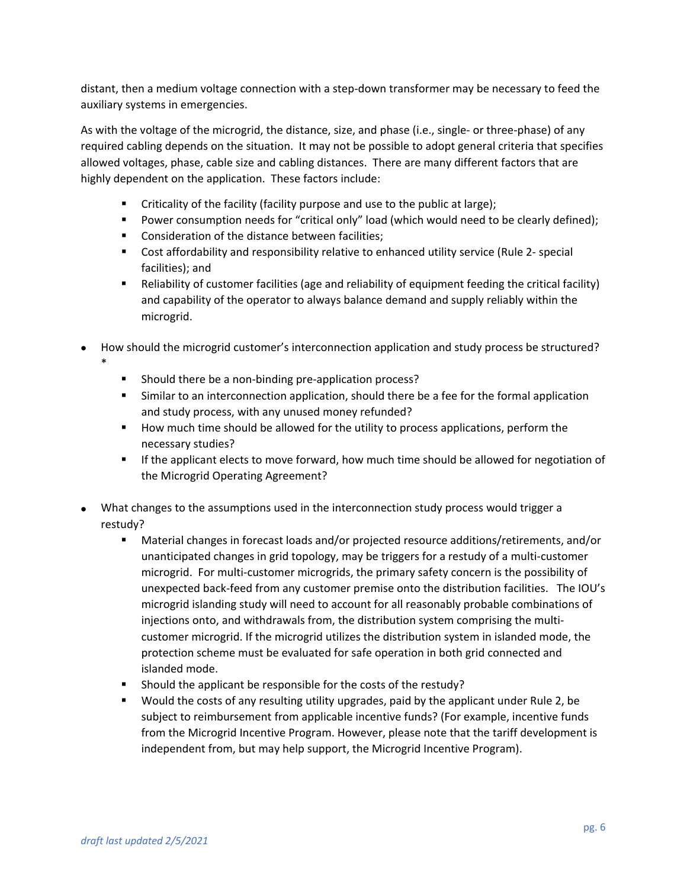distant, then a medium voltage connection with a step-down transformer may be necessary to feed the auxiliary systems in emergencies.

As with the voltage of the microgrid, the distance, size, and phase (i.e., single- or three-phase) of any required cabling depends on the situation. It may not be possible to adopt general criteria that specifies allowed voltages, phase, cable size and cabling distances. There are many different factors that are highly dependent on the application. These factors include:

- Criticality of the facility (facility purpose and use to the public at large);
- **Power consumption needs for "critical only" load (which would need to be clearly defined);**
- **Consideration of the distance between facilities;**
- **Cost affordability and responsibility relative to enhanced utility service (Rule 2- special** facilities); and
- Reliability of customer facilities (age and reliability of equipment feeding the critical facility) and capability of the operator to always balance demand and supply reliably within the microgrid.
- How should the microgrid customer's interconnection application and study process be structured? \*
	- **Should there be a non-binding pre-application process?**
	- Similar to an interconnection application, should there be a fee for the formal application and study process, with any unused money refunded?
	- How much time should be allowed for the utility to process applications, perform the necessary studies?
	- **If the applicant elects to move forward, how much time should be allowed for negotiation of** the Microgrid Operating Agreement?
- What changes to the assumptions used in the interconnection study process would trigger a restudy?
	- Material changes in forecast loads and/or projected resource additions/retirements, and/or unanticipated changes in grid topology, may be triggers for a restudy of a multi-customer microgrid. For multi-customer microgrids, the primary safety concern is the possibility of unexpected back-feed from any customer premise onto the distribution facilities. The IOU's microgrid islanding study will need to account for all reasonably probable combinations of injections onto, and withdrawals from, the distribution system comprising the multicustomer microgrid. If the microgrid utilizes the distribution system in islanded mode, the protection scheme must be evaluated for safe operation in both grid connected and islanded mode.
	- **Should the applicant be responsible for the costs of the restudy?**
	- Would the costs of any resulting utility upgrades, paid by the applicant under Rule 2, be subject to reimbursement from applicable incentive funds? (For example, incentive funds from the Microgrid Incentive Program. However, please note that the tariff development is independent from, but may help support, the Microgrid Incentive Program).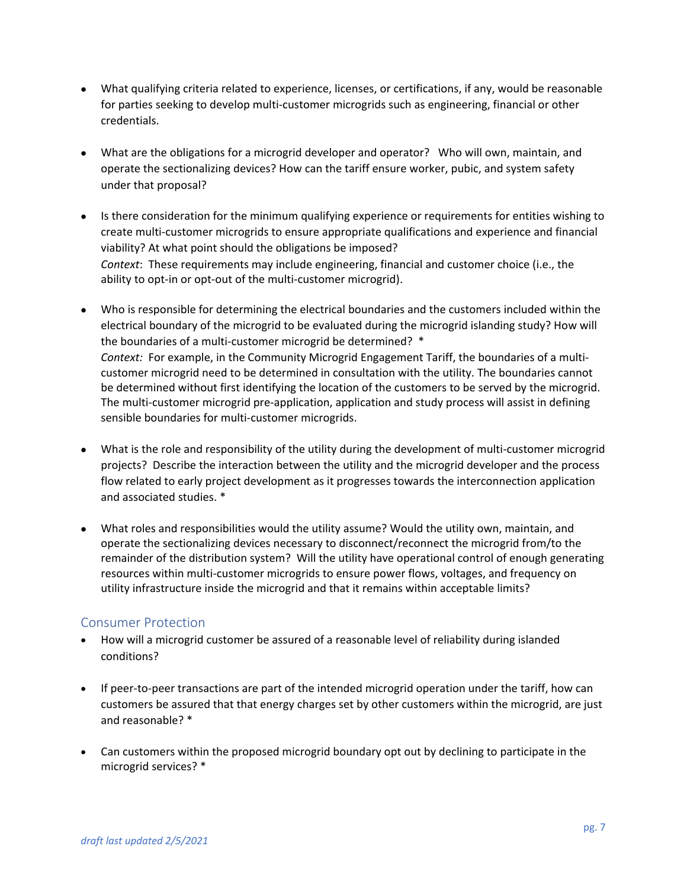- What qualifying criteria related to experience, licenses, or certifications, if any, would be reasonable for parties seeking to develop multi-customer microgrids such as engineering, financial or other credentials.
- What are the obligations for a microgrid developer and operator? Who will own, maintain, and operate the sectionalizing devices? How can the tariff ensure worker, pubic, and system safety under that proposal?
- Is there consideration for the minimum qualifying experience or requirements for entities wishing to create multi-customer microgrids to ensure appropriate qualifications and experience and financial viability? At what point should the obligations be imposed? *Context*: These requirements may include engineering, financial and customer choice (i.e., the ability to opt-in or opt-out of the multi-customer microgrid).
- Who is responsible for determining the electrical boundaries and the customers included within the electrical boundary of the microgrid to be evaluated during the microgrid islanding study? How will the boundaries of a multi-customer microgrid be determined? \* *Context:* For example, in the Community Microgrid Engagement Tariff, the boundaries of a multicustomer microgrid need to be determined in consultation with the utility. The boundaries cannot be determined without first identifying the location of the customers to be served by the microgrid. The multi-customer microgrid pre-application, application and study process will assist in defining sensible boundaries for multi-customer microgrids.
- What is the role and responsibility of the utility during the development of multi-customer microgrid projects? Describe the interaction between the utility and the microgrid developer and the process flow related to early project development as it progresses towards the interconnection application and associated studies. \*
- What roles and responsibilities would the utility assume? Would the utility own, maintain, and operate the sectionalizing devices necessary to disconnect/reconnect the microgrid from/to the remainder of the distribution system? Will the utility have operational control of enough generating resources within multi-customer microgrids to ensure power flows, voltages, and frequency on utility infrastructure inside the microgrid and that it remains within acceptable limits?

#### Consumer Protection

- How will a microgrid customer be assured of a reasonable level of reliability during islanded conditions?
- If peer-to-peer transactions are part of the intended microgrid operation under the tariff, how can customers be assured that that energy charges set by other customers within the microgrid, are just and reasonable? \*
- Can customers within the proposed microgrid boundary opt out by declining to participate in the microgrid services? \*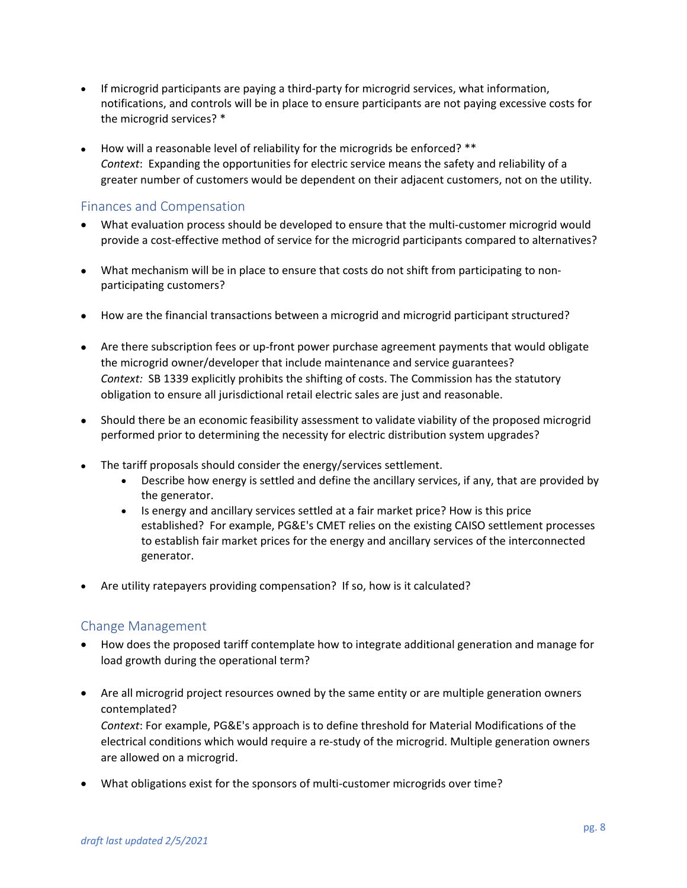- If microgrid participants are paying a third-party for microgrid services, what information, notifications, and controls will be in place to ensure participants are not paying excessive costs for the microgrid services? \*
- How will a reasonable level of reliability for the microgrids be enforced? \*\* *Context*: Expanding the opportunities for electric service means the safety and reliability of a greater number of customers would be dependent on their adjacent customers, not on the utility.

## Finances and Compensation

- What evaluation process should be developed to ensure that the multi-customer microgrid would provide a cost-effective method of service for the microgrid participants compared to alternatives?
- What mechanism will be in place to ensure that costs do not shift from participating to nonparticipating customers?
- How are the financial transactions between a microgrid and microgrid participant structured?
- Are there subscription fees or up-front power purchase agreement payments that would obligate the microgrid owner/developer that include maintenance and service guarantees? *Context:* SB 1339 explicitly prohibits the shifting of costs. The Commission has the statutory obligation to ensure all jurisdictional retail electric sales are just and reasonable.
- Should there be an economic feasibility assessment to validate viability of the proposed microgrid performed prior to determining the necessity for electric distribution system upgrades?
- The tariff proposals should consider the energy/services settlement.
	- Describe how energy is settled and define the ancillary services, if any, that are provided by the generator.
	- Is energy and ancillary services settled at a fair market price? How is this price established? For example, PG&E's CMET relies on the existing CAISO settlement processes to establish fair market prices for the energy and ancillary services of the interconnected generator.
- Are utility ratepayers providing compensation? If so, how is it calculated?

## Change Management

- How does the proposed tariff contemplate how to integrate additional generation and manage for load growth during the operational term?
- Are all microgrid project resources owned by the same entity or are multiple generation owners contemplated? *Context*: For example, PG&E's approach is to define threshold for Material Modifications of the

electrical conditions which would require a re-study of the microgrid. Multiple generation owners are allowed on a microgrid.

• What obligations exist for the sponsors of multi-customer microgrids over time?